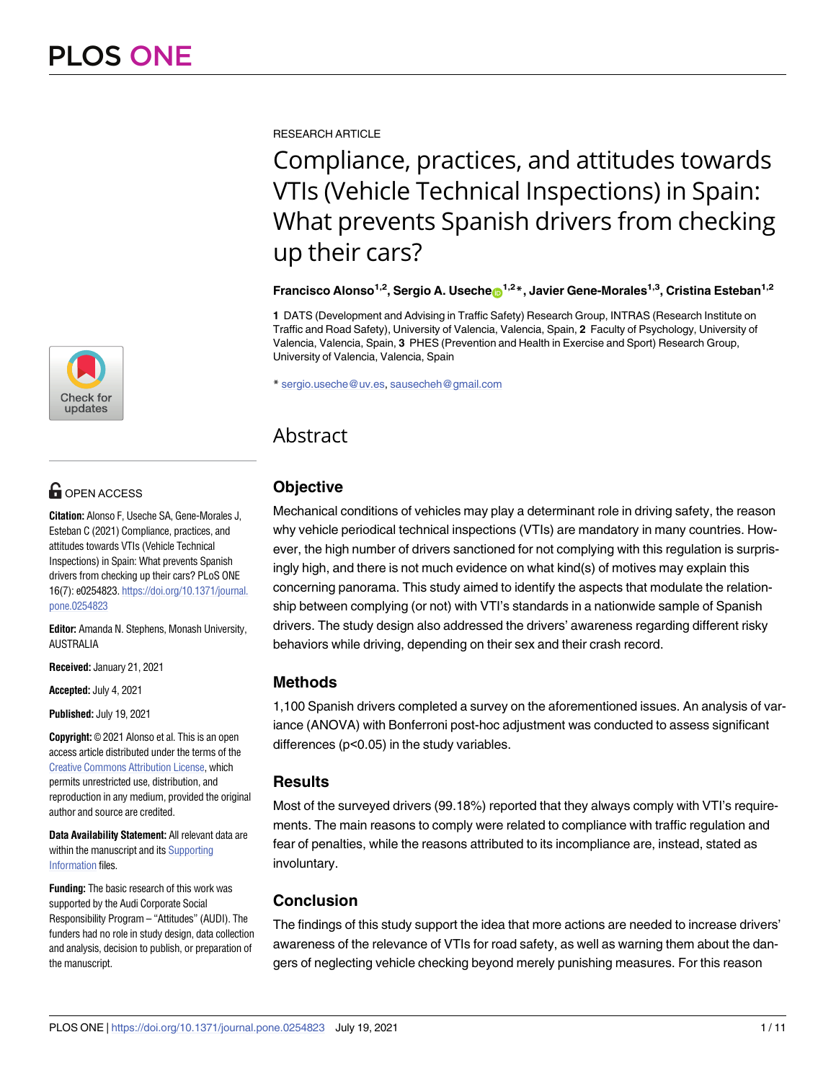

# $\blacksquare$  OPEN ACCESS

**Citation:** Alonso F, Useche SA, Gene-Morales J, Esteban C (2021) Compliance, practices, and attitudes towards VTIs (Vehicle Technical Inspections) in Spain: What prevents Spanish drivers from checking up their cars? PLoS ONE 16(7): e0254823. [https://doi.org/10.1371/journal.](https://doi.org/10.1371/journal.pone.0254823) [pone.0254823](https://doi.org/10.1371/journal.pone.0254823)

**Editor:** Amanda N. Stephens, Monash University, AUSTRALIA

**Received:** January 21, 2021

**Accepted:** July 4, 2021

**Published:** July 19, 2021

**Copyright:** © 2021 Alonso et al. This is an open access article distributed under the terms of the Creative Commons [Attribution](http://creativecommons.org/licenses/by/4.0/) License, which permits unrestricted use, distribution, and reproduction in any medium, provided the original author and source are credited.

**Data Availability Statement:** All relevant data are within the manuscript and its [Supporting](#page-8-0) [Information](#page-8-0) files.

**Funding:** The basic research of this work was supported by the Audi Corporate Social Responsibility Program – "Attitudes"(AUDI). The funders had no role in study design, data collection and analysis, decision to publish, or preparation of the manuscript.

RESEARCH ARTICLE

Compliance, practices, and attitudes towards VTIs (Vehicle Technical Inspections) in Spain: What prevents Spanish drivers from checking up their cars?

**Francisco Alonso<sup>1,2</sup>, Sergio A. Useche <b>D**<sup>1,2</sup><sup>\*</sup>, Javier Gene-Morales<sup>1,3</sup>, Cristina Esteban<sup>1,2</sup>

**1** DATS (Development and Advising in Traffic Safety) Research Group, INTRAS (Research Institute on Traffic and Road Safety), University of Valencia, Valencia, Spain, **2** Faculty of Psychology, University of Valencia, Valencia, Spain, **3** PHES (Prevention and Health in Exercise and Sport) Research Group, University of Valencia, Valencia, Spain

\* sergio.useche@uv.es, sausecheh@gmail.com

# Abstract

# **Objective**

Mechanical conditions of vehicles may play a determinant role in driving safety, the reason why vehicle periodical technical inspections (VTIs) are mandatory in many countries. However, the high number of drivers sanctioned for not complying with this regulation is surprisingly high, and there is not much evidence on what kind(s) of motives may explain this concerning panorama. This study aimed to identify the aspects that modulate the relationship between complying (or not) with VTI's standards in a nationwide sample of Spanish drivers. The study design also addressed the drivers' awareness regarding different risky behaviors while driving, depending on their sex and their crash record.

# **Methods**

1,100 Spanish drivers completed a survey on the aforementioned issues. An analysis of variance (ANOVA) with Bonferroni post-hoc adjustment was conducted to assess significant differences (p<0.05) in the study variables.

# **Results**

Most of the surveyed drivers (99.18%) reported that they always comply with VTI's requirements. The main reasons to comply were related to compliance with traffic regulation and fear of penalties, while the reasons attributed to its incompliance are, instead, stated as involuntary.

# **Conclusion**

The findings of this study support the idea that more actions are needed to increase drivers' awareness of the relevance of VTIs for road safety, as well as warning them about the dangers of neglecting vehicle checking beyond merely punishing measures. For this reason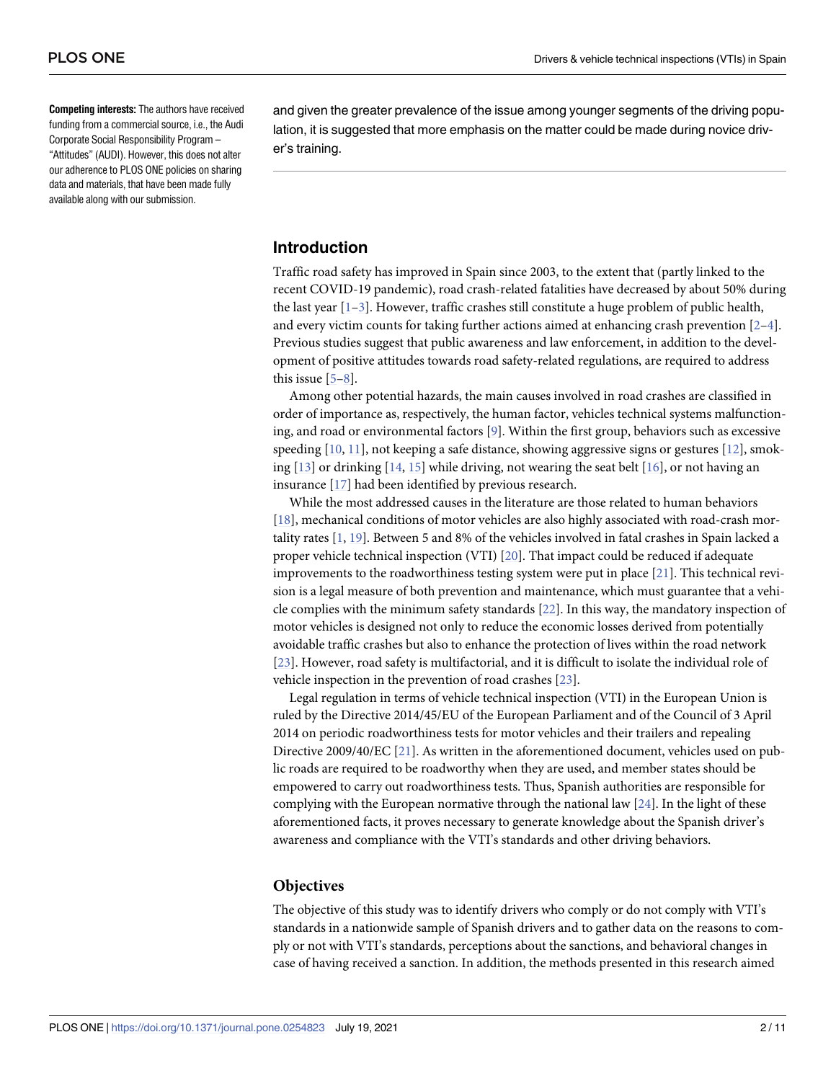<span id="page-1-0"></span>**Competing interests:** The authors have received funding from a commercial source, i.e., the Audi Corporate Social Responsibility Program – "Attitudes"(AUDI). However, this does not alter our adherence to PLOS ONE policies on sharing data and materials, that have been made fully available along with our submission.

and given the greater prevalence of the issue among younger segments of the driving population, it is suggested that more emphasis on the matter could be made during novice driver's training.

# **Introduction**

Traffic road safety has improved in Spain since 2003, to the extent that (partly linked to the recent COVID-19 pandemic), road crash-related fatalities have decreased by about 50% during the last year  $[1-3]$  $[1-3]$  $[1-3]$  $[1-3]$  $[1-3]$ . However, traffic crashes still constitute a huge problem of public health, and every victim counts for taking further actions aimed at enhancing crash prevention [\[2–4\]](#page-9-0). Previous studies suggest that public awareness and law enforcement, in addition to the development of positive attitudes towards road safety-related regulations, are required to address this issue [[5–8](#page-9-0)].

Among other potential hazards, the main causes involved in road crashes are classified in order of importance as, respectively, the human factor, vehicles technical systems malfunctioning, and road or environmental factors [[9](#page-9-0)]. Within the first group, behaviors such as excessive speeding [[10](#page-9-0), [11](#page-9-0)], not keeping a safe distance, showing aggressive signs or gestures [\[12\]](#page-9-0), smoking  $[13]$  or drinking  $[14, 15]$  $[14, 15]$  $[14, 15]$  while driving, not wearing the seat belt  $[16]$  $[16]$  $[16]$ , or not having an insurance [[17](#page-10-0)] had been identified by previous research.

While the most addressed causes in the literature are those related to human behaviors [\[18\]](#page-10-0), mechanical conditions of motor vehicles are also highly associated with road-crash mortality rates [[1](#page-9-0), [19](#page-10-0)]. Between 5 and 8% of the vehicles involved in fatal crashes in Spain lacked a proper vehicle technical inspection (VTI) [[20](#page-10-0)]. That impact could be reduced if adequate improvements to the roadworthiness testing system were put in place  $[21]$  $[21]$  $[21]$ . This technical revision is a legal measure of both prevention and maintenance, which must guarantee that a vehicle complies with the minimum safety standards [[22](#page-10-0)]. In this way, the mandatory inspection of motor vehicles is designed not only to reduce the economic losses derived from potentially avoidable traffic crashes but also to enhance the protection of lives within the road network [\[23\]](#page-10-0). However, road safety is multifactorial, and it is difficult to isolate the individual role of vehicle inspection in the prevention of road crashes [[23](#page-10-0)].

Legal regulation in terms of vehicle technical inspection (VTI) in the European Union is ruled by the Directive 2014/45/EU of the European Parliament and of the Council of 3 April 2014 on periodic roadworthiness tests for motor vehicles and their trailers and repealing Directive 2009/40/EC [[21](#page-10-0)]. As written in the aforementioned document, vehicles used on public roads are required to be roadworthy when they are used, and member states should be empowered to carry out roadworthiness tests. Thus, Spanish authorities are responsible for complying with the European normative through the national law [\[24\]](#page-10-0). In the light of these aforementioned facts, it proves necessary to generate knowledge about the Spanish driver's awareness and compliance with the VTI's standards and other driving behaviors.

# **Objectives**

The objective of this study was to identify drivers who comply or do not comply with VTI's standards in a nationwide sample of Spanish drivers and to gather data on the reasons to comply or not with VTI's standards, perceptions about the sanctions, and behavioral changes in case of having received a sanction. In addition, the methods presented in this research aimed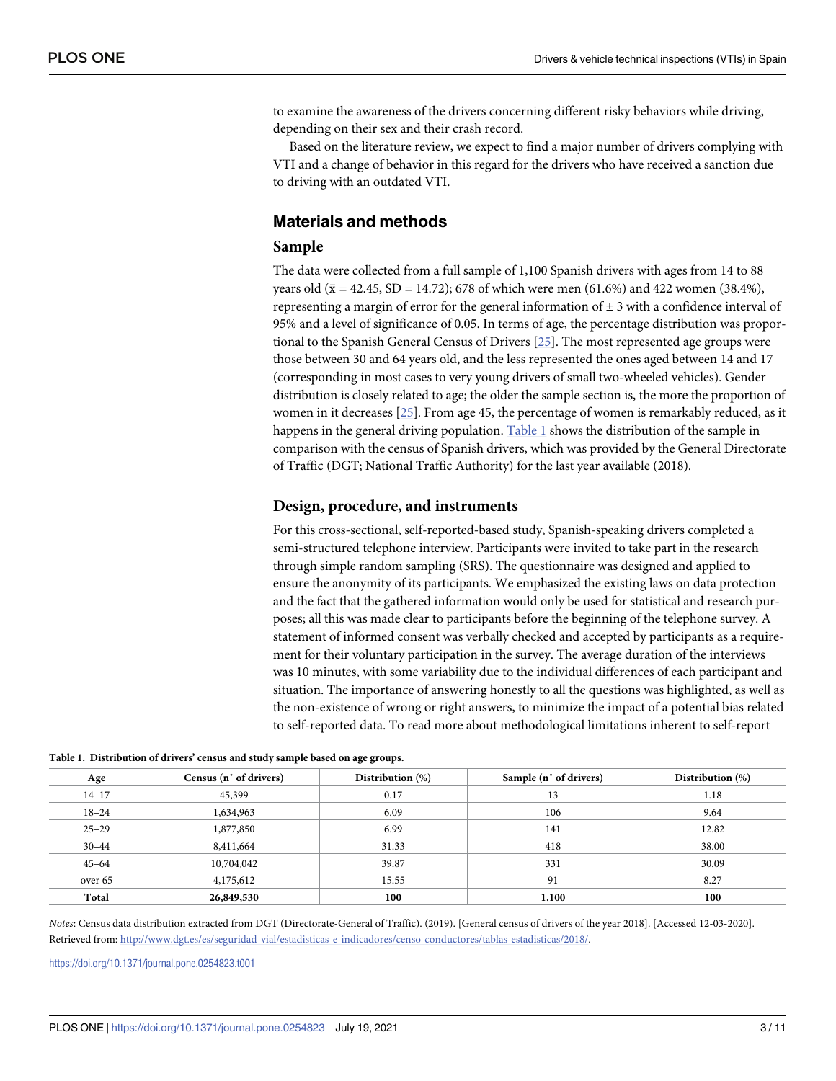<span id="page-2-0"></span>to examine the awareness of the drivers concerning different risky behaviors while driving, depending on their sex and their crash record.

Based on the literature review, we expect to find a major number of drivers complying with VTI and a change of behavior in this regard for the drivers who have received a sanction due to driving with an outdated VTI.

# **Materials and methods**

### **Sample**

The data were collected from a full sample of 1,100 Spanish drivers with ages from 14 to 88 years old ( $\bar{x}$  = 42.45, SD = 14.72); 678 of which were men (61.6%) and 422 women (38.4%), representing a margin of error for the general information of  $\pm 3$  with a confidence interval of 95% and a level of significance of 0.05. In terms of age, the percentage distribution was proportional to the Spanish General Census of Drivers [\[25\]](#page-10-0). The most represented age groups were those between 30 and 64 years old, and the less represented the ones aged between 14 and 17 (corresponding in most cases to very young drivers of small two-wheeled vehicles). Gender distribution is closely related to age; the older the sample section is, the more the proportion of women in it decreases [\[25\]](#page-10-0). From age 45, the percentage of women is remarkably reduced, as it happens in the general driving population. Table 1 shows the distribution of the sample in comparison with the census of Spanish drivers, which was provided by the General Directorate of Traffic (DGT; National Traffic Authority) for the last year available (2018).

# **Design, procedure, and instruments**

For this cross-sectional, self-reported-based study, Spanish-speaking drivers completed a semi-structured telephone interview. Participants were invited to take part in the research through simple random sampling (SRS). The questionnaire was designed and applied to ensure the anonymity of its participants. We emphasized the existing laws on data protection and the fact that the gathered information would only be used for statistical and research purposes; all this was made clear to participants before the beginning of the telephone survey. A statement of informed consent was verbally checked and accepted by participants as a requirement for their voluntary participation in the survey. The average duration of the interviews was 10 minutes, with some variability due to the individual differences of each participant and situation. The importance of answering honestly to all the questions was highlighted, as well as the non-existence of wrong or right answers, to minimize the impact of a potential bias related to self-reported data. To read more about methodological limitations inherent to self-report

|  | Table 1. Distribution of drivers' census and study sample based on age groups. |  |  |  |
|--|--------------------------------------------------------------------------------|--|--|--|
|--|--------------------------------------------------------------------------------|--|--|--|

| Age       | Census (n° of drivers) | Distribution (%) | Sample (n° of drivers) | Distribution (%) |
|-----------|------------------------|------------------|------------------------|------------------|
| $14 - 17$ | 45,399                 | 0.17             | 13                     | 1.18             |
| $18 - 24$ | 1,634,963              | 6.09             | 106                    | 9.64             |
| $25 - 29$ | 1,877,850              | 6.99             | 141                    | 12.82            |
| $30 - 44$ | 8,411,664              | 31.33            | 418                    | 38.00            |
| $45 - 64$ | 10,704,042             | 39.87            | 331                    | 30.09            |
| over 65   | 4,175,612              | 15.55            | 91                     | 8.27             |
| Total     | 26,849,530             | 100              | 1.100                  | 100              |

*Notes*: Census data distribution extracted from DGT (Directorate-General of Traffic). (2019). [General census of drivers of the year 2018]. [Accessed 12-03-2020]. Retrieved from: <http://www.dgt.es/es/seguridad-vial/estadisticas-e-indicadores/censo-conductores/tablas-estadisticas/2018/>.

<https://doi.org/10.1371/journal.pone.0254823.t001>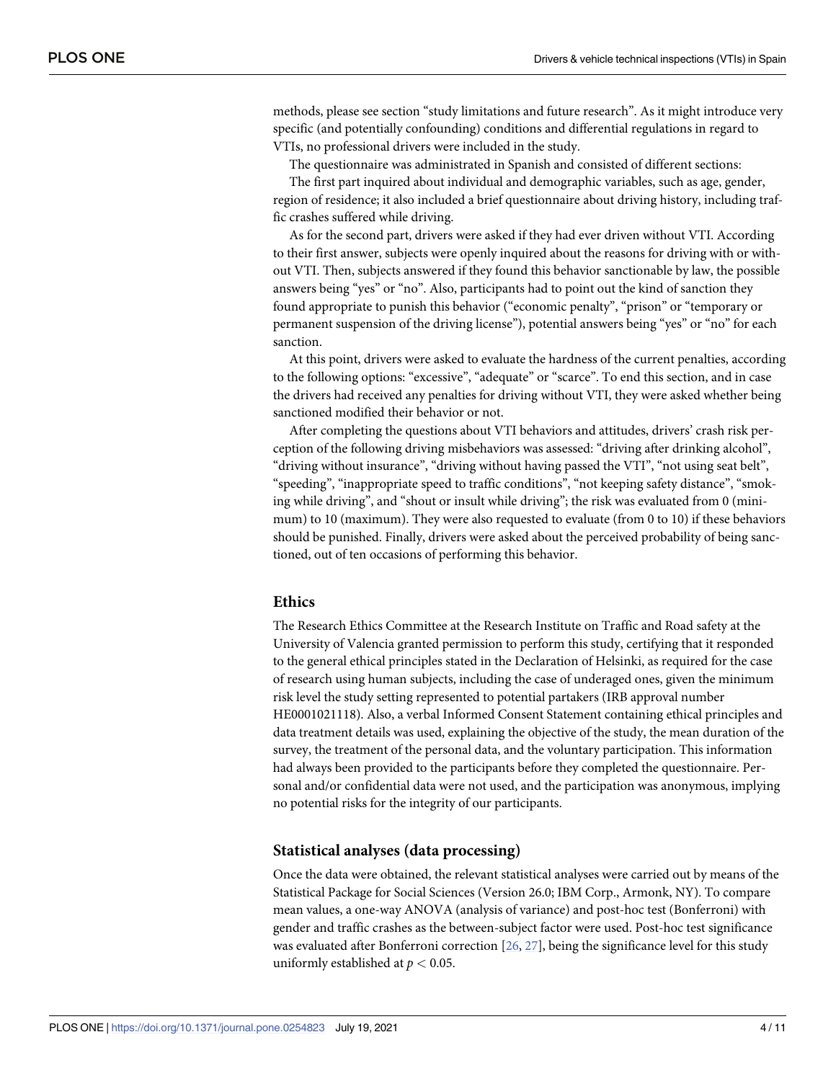<span id="page-3-0"></span>methods, please see section "study limitations and future research". As it might introduce very specific (and potentially confounding) conditions and differential regulations in regard to VTIs, no professional drivers were included in the study.

The questionnaire was administrated in Spanish and consisted of different sections:

The first part inquired about individual and demographic variables, such as age, gender, region of residence; it also included a brief questionnaire about driving history, including traffic crashes suffered while driving.

As for the second part, drivers were asked if they had ever driven without VTI. According to their first answer, subjects were openly inquired about the reasons for driving with or without VTI. Then, subjects answered if they found this behavior sanctionable by law, the possible answers being "yes" or "no". Also, participants had to point out the kind of sanction they found appropriate to punish this behavior ("economic penalty", "prison" or "temporary or permanent suspension of the driving license"), potential answers being "yes" or "no" for each sanction.

At this point, drivers were asked to evaluate the hardness of the current penalties, according to the following options: "excessive", "adequate" or "scarce". To end this section, and in case the drivers had received any penalties for driving without VTI, they were asked whether being sanctioned modified their behavior or not.

After completing the questions about VTI behaviors and attitudes, drivers' crash risk perception of the following driving misbehaviors was assessed: "driving after drinking alcohol", "driving without insurance", "driving without having passed the VTI", "not using seat belt", "speeding", "inappropriate speed to traffic conditions", "not keeping safety distance", "smoking while driving", and "shout or insult while driving"; the risk was evaluated from 0 (minimum) to 10 (maximum). They were also requested to evaluate (from 0 to 10) if these behaviors should be punished. Finally, drivers were asked about the perceived probability of being sanctioned, out of ten occasions of performing this behavior.

#### **Ethics**

The Research Ethics Committee at the Research Institute on Traffic and Road safety at the University of Valencia granted permission to perform this study, certifying that it responded to the general ethical principles stated in the Declaration of Helsinki, as required for the case of research using human subjects, including the case of underaged ones, given the minimum risk level the study setting represented to potential partakers (IRB approval number HE0001021118). Also, a verbal Informed Consent Statement containing ethical principles and data treatment details was used, explaining the objective of the study, the mean duration of the survey, the treatment of the personal data, and the voluntary participation. This information had always been provided to the participants before they completed the questionnaire. Personal and/or confidential data were not used, and the participation was anonymous, implying no potential risks for the integrity of our participants.

#### **Statistical analyses (data processing)**

Once the data were obtained, the relevant statistical analyses were carried out by means of the Statistical Package for Social Sciences (Version 26.0; IBM Corp., Armonk, NY). To compare mean values, a one-way ANOVA (analysis of variance) and post-hoc test (Bonferroni) with gender and traffic crashes as the between-subject factor were used. Post-hoc test significance was evaluated after Bonferroni correction [[26](#page-10-0), [27](#page-10-0)], being the significance level for this study uniformly established at *p <* 0.05.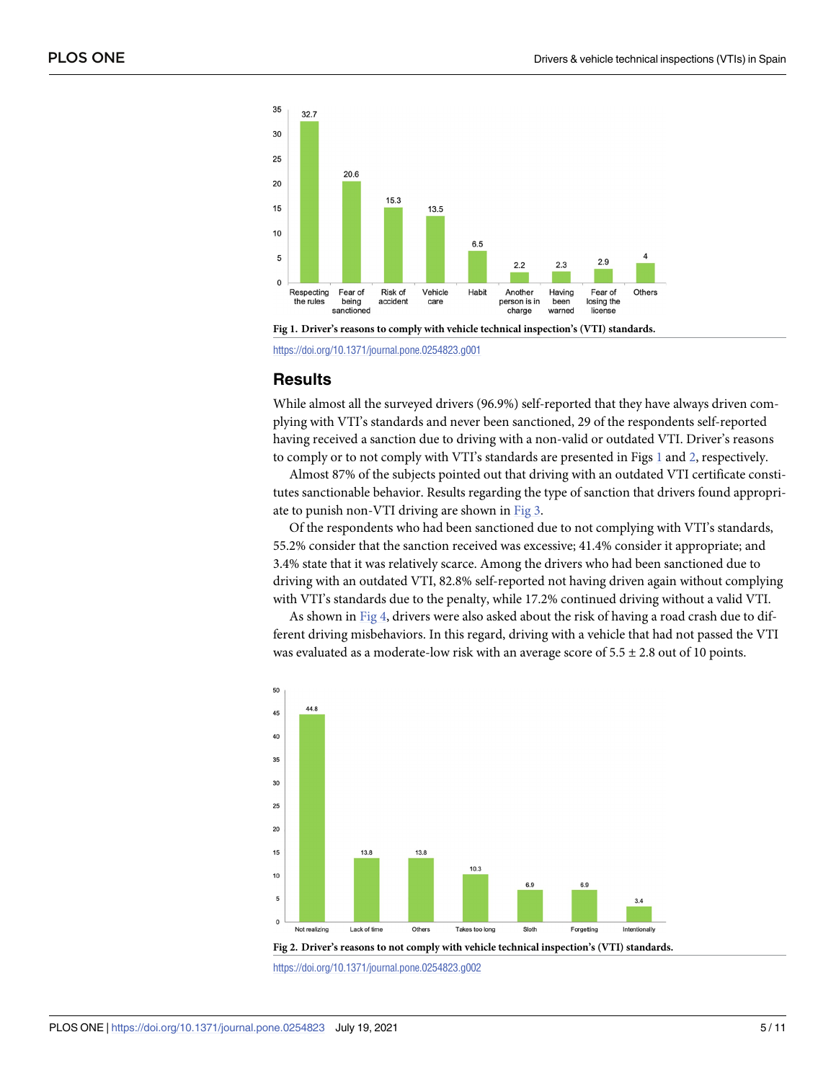<span id="page-4-0"></span>



<https://doi.org/10.1371/journal.pone.0254823.g001>

# **Results**

While almost all the surveyed drivers (96.9%) self-reported that they have always driven complying with VTI's standards and never been sanctioned, 29 of the respondents self-reported having received a sanction due to driving with a non-valid or outdated VTI. Driver's reasons to comply or to not comply with VTI's standards are presented in Figs 1 and 2, respectively.

Almost 87% of the subjects pointed out that driving with an outdated VTI certificate constitutes sanctionable behavior. Results regarding the type of sanction that drivers found appropriate to punish non-VTI driving are shown in [Fig](#page-5-0) 3.

Of the respondents who had been sanctioned due to not complying with VTI's standards, 55.2% consider that the sanction received was excessive; 41.4% consider it appropriate; and 3.4% state that it was relatively scarce. Among the drivers who had been sanctioned due to driving with an outdated VTI, 82.8% self-reported not having driven again without complying with VTI's standards due to the penalty, while 17.2% continued driving without a valid VTI.

As shown in [Fig](#page-5-0) 4, drivers were also asked about the risk of having a road crash due to different driving misbehaviors. In this regard, driving with a vehicle that had not passed the VTI was evaluated as a moderate-low risk with an average score of  $5.5 \pm 2.8$  out of 10 points.



<https://doi.org/10.1371/journal.pone.0254823.g002>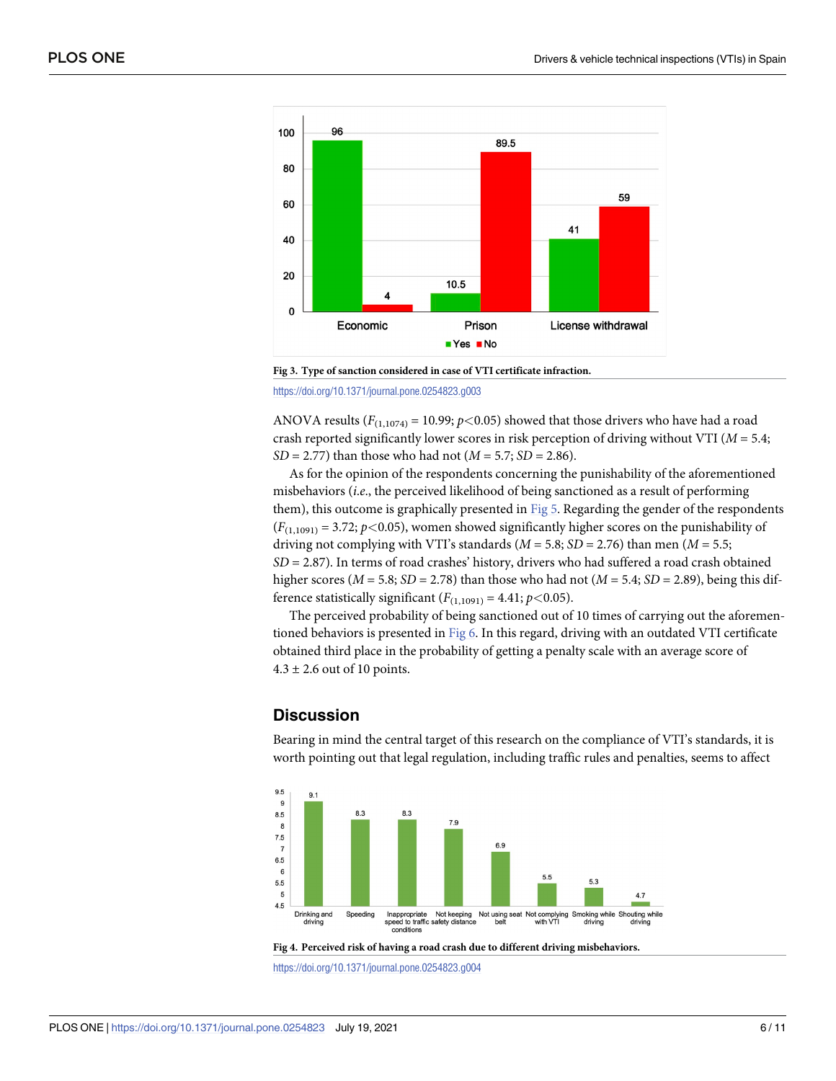<span id="page-5-0"></span>

**[Fig](#page-4-0) 3. Type of sanction considered in case of VTI certificate infraction.**

<https://doi.org/10.1371/journal.pone.0254823.g003>

ANOVA results ( $F_{(1,1074)} = 10.99$ ;  $p < 0.05$ ) showed that those drivers who have had a road crash reported significantly lower scores in risk perception of driving without VTI (*M* = 5.4; *SD* = 2.77) than those who had not (*M* = 5.7; *SD* = 2.86).

As for the opinion of the respondents concerning the punishability of the aforementioned misbehaviors (*i*.*e*., the perceived likelihood of being sanctioned as a result of performing them), this outcome is graphically presented in [Fig](#page-6-0) 5. Regarding the gender of the respondents  $(F_{(1,1091)} = 3.72; p < 0.05)$ , women showed significantly higher scores on the punishability of driving not complying with VTI's standards ( $M = 5.8$ ; *SD* = 2.76) than men ( $M = 5.5$ ; *SD* = 2.87). In terms of road crashes' history, drivers who had suffered a road crash obtained higher scores ( $M = 5.8$ ;  $SD = 2.78$ ) than those who had not ( $M = 5.4$ ;  $SD = 2.89$ ), being this difference statistically significant  $(F_{(1,1091)} = 4.41; p < 0.05)$ .

The perceived probability of being sanctioned out of 10 times of carrying out the aforementioned behaviors is presented in [Fig](#page-6-0) 6. In this regard, driving with an outdated VTI certificate obtained third place in the probability of getting a penalty scale with an average score of  $4.3 \pm 2.6$  out of 10 points.

# **Discussion**

Bearing in mind the central target of this research on the compliance of VTI's standards, it is worth pointing out that legal regulation, including traffic rules and penalties, seems to affect





<https://doi.org/10.1371/journal.pone.0254823.g004>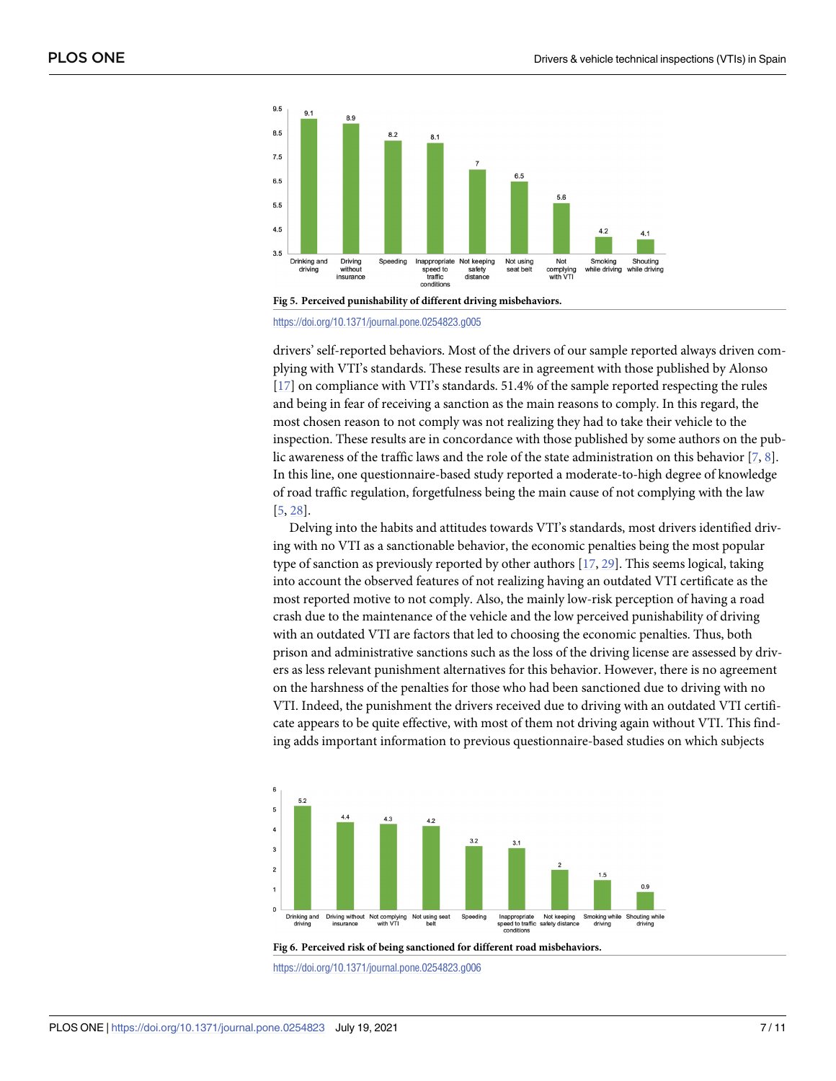<span id="page-6-0"></span>



<https://doi.org/10.1371/journal.pone.0254823.g005>

drivers' self-reported behaviors. Most of the drivers of our sample reported always driven complying with VTI's standards. These results are in agreement with those published by Alonso [\[17\]](#page-10-0) on compliance with VTI's standards. 51.4% of the sample reported respecting the rules and being in fear of receiving a sanction as the main reasons to comply. In this regard, the most chosen reason to not comply was not realizing they had to take their vehicle to the inspection. These results are in concordance with those published by some authors on the public awareness of the traffic laws and the role of the state administration on this behavior [[7,](#page-9-0) [8\]](#page-9-0). In this line, one questionnaire-based study reported a moderate-to-high degree of knowledge of road traffic regulation, forgetfulness being the main cause of not complying with the law [\[5](#page-9-0), [28](#page-10-0)].

Delving into the habits and attitudes towards VTI's standards, most drivers identified driving with no VTI as a sanctionable behavior, the economic penalties being the most popular type of sanction as previously reported by other authors [[17](#page-10-0), [29](#page-10-0)]. This seems logical, taking into account the observed features of not realizing having an outdated VTI certificate as the most reported motive to not comply. Also, the mainly low-risk perception of having a road crash due to the maintenance of the vehicle and the low perceived punishability of driving with an outdated VTI are factors that led to choosing the economic penalties. Thus, both prison and administrative sanctions such as the loss of the driving license are assessed by drivers as less relevant punishment alternatives for this behavior. However, there is no agreement on the harshness of the penalties for those who had been sanctioned due to driving with no VTI. Indeed, the punishment the drivers received due to driving with an outdated VTI certificate appears to be quite effective, with most of them not driving again without VTI. This finding adds important information to previous questionnaire-based studies on which subjects





<https://doi.org/10.1371/journal.pone.0254823.g006>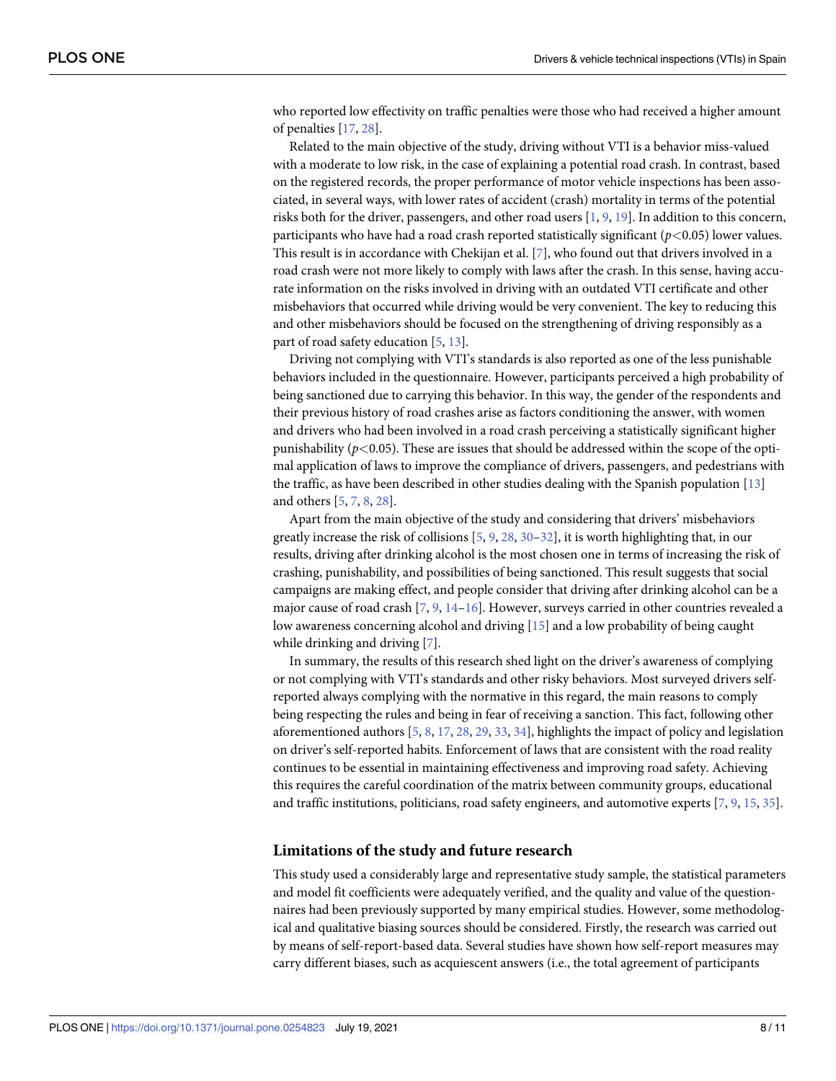<span id="page-7-0"></span>who reported low effectivity on traffic penalties were those who had received a higher amount of penalties [[17](#page-10-0), [28](#page-10-0)].

Related to the main objective of the study, driving without VTI is a behavior miss-valued with a moderate to low risk, in the case of explaining a potential road crash. In contrast, based on the registered records, the proper performance of motor vehicle inspections has been associated, in several ways, with lower rates of accident (crash) mortality in terms of the potential risks both for the driver, passengers, and other road users [\[1,](#page-9-0) [9,](#page-9-0) [19\]](#page-10-0). In addition to this concern, participants who have had a road crash reported statistically significant (*p<*0.05) lower values. This result is in accordance with Chekijan et al. [\[7\]](#page-9-0), who found out that drivers involved in a road crash were not more likely to comply with laws after the crash. In this sense, having accurate information on the risks involved in driving with an outdated VTI certificate and other misbehaviors that occurred while driving would be very convenient. The key to reducing this and other misbehaviors should be focused on the strengthening of driving responsibly as a part of road safety education [\[5,](#page-9-0) [13\]](#page-9-0).

Driving not complying with VTI's standards is also reported as one of the less punishable behaviors included in the questionnaire. However, participants perceived a high probability of being sanctioned due to carrying this behavior. In this way, the gender of the respondents and their previous history of road crashes arise as factors conditioning the answer, with women and drivers who had been involved in a road crash perceiving a statistically significant higher punishability  $(p<0.05)$ . These are issues that should be addressed within the scope of the optimal application of laws to improve the compliance of drivers, passengers, and pedestrians with the traffic, as have been described in other studies dealing with the Spanish population [[13](#page-9-0)] and others [[5,](#page-9-0) [7,](#page-9-0) [8,](#page-9-0) [28\]](#page-10-0).

Apart from the main objective of the study and considering that drivers' misbehaviors greatly increase the risk of collisions [[5,](#page-9-0) [9,](#page-9-0) [28,](#page-10-0) [30–32](#page-10-0)], it is worth highlighting that, in our results, driving after drinking alcohol is the most chosen one in terms of increasing the risk of crashing, punishability, and possibilities of being sanctioned. This result suggests that social campaigns are making effect, and people consider that driving after drinking alcohol can be a major cause of road crash [[7](#page-9-0), [9](#page-9-0), [14](#page-9-0)–[16](#page-10-0)]. However, surveys carried in other countries revealed a low awareness concerning alcohol and driving [[15](#page-9-0)] and a low probability of being caught while drinking and driving [[7](#page-9-0)].

In summary, the results of this research shed light on the driver's awareness of complying or not complying with VTI's standards and other risky behaviors. Most surveyed drivers selfreported always complying with the normative in this regard, the main reasons to comply being respecting the rules and being in fear of receiving a sanction. This fact, following other aforementioned authors [[5,](#page-9-0) [8,](#page-9-0) [17,](#page-10-0) [28,](#page-10-0) [29,](#page-10-0) [33,](#page-10-0) [34\]](#page-10-0), highlights the impact of policy and legislation on driver's self-reported habits. Enforcement of laws that are consistent with the road reality continues to be essential in maintaining effectiveness and improving road safety. Achieving this requires the careful coordination of the matrix between community groups, educational and traffic institutions, politicians, road safety engineers, and automotive experts [\[7,](#page-9-0) [9](#page-9-0), [15](#page-9-0), [35](#page-10-0)].

#### **Limitations of the study and future research**

This study used a considerably large and representative study sample, the statistical parameters and model fit coefficients were adequately verified, and the quality and value of the questionnaires had been previously supported by many empirical studies. However, some methodological and qualitative biasing sources should be considered. Firstly, the research was carried out by means of self-report-based data. Several studies have shown how self-report measures may carry different biases, such as acquiescent answers (i.e., the total agreement of participants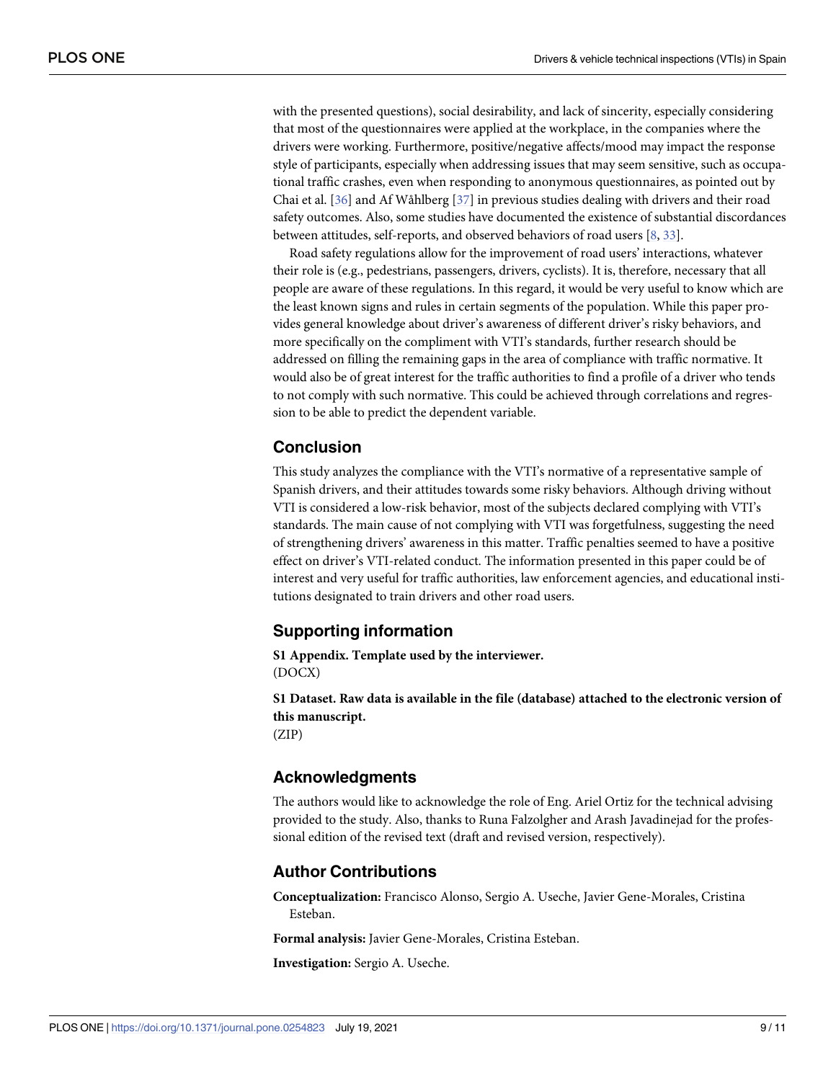<span id="page-8-0"></span>with the presented questions), social desirability, and lack of sincerity, especially considering that most of the questionnaires were applied at the workplace, in the companies where the drivers were working. Furthermore, positive/negative affects/mood may impact the response style of participants, especially when addressing issues that may seem sensitive, such as occupational traffic crashes, even when responding to anonymous questionnaires, as pointed out by Chai et al. [\[36\]](#page-10-0) and Af Wåhlberg [[37](#page-10-0)] in previous studies dealing with drivers and their road safety outcomes. Also, some studies have documented the existence of substantial discordances between attitudes, self-reports, and observed behaviors of road users [[8](#page-9-0), [33](#page-10-0)].

Road safety regulations allow for the improvement of road users' interactions, whatever their role is (e.g., pedestrians, passengers, drivers, cyclists). It is, therefore, necessary that all people are aware of these regulations. In this regard, it would be very useful to know which are the least known signs and rules in certain segments of the population. While this paper provides general knowledge about driver's awareness of different driver's risky behaviors, and more specifically on the compliment with VTI's standards, further research should be addressed on filling the remaining gaps in the area of compliance with traffic normative. It would also be of great interest for the traffic authorities to find a profile of a driver who tends to not comply with such normative. This could be achieved through correlations and regression to be able to predict the dependent variable.

# **Conclusion**

This study analyzes the compliance with the VTI's normative of a representative sample of Spanish drivers, and their attitudes towards some risky behaviors. Although driving without VTI is considered a low-risk behavior, most of the subjects declared complying with VTI's standards. The main cause of not complying with VTI was forgetfulness, suggesting the need of strengthening drivers' awareness in this matter. Traffic penalties seemed to have a positive effect on driver's VTI-related conduct. The information presented in this paper could be of interest and very useful for traffic authorities, law enforcement agencies, and educational institutions designated to train drivers and other road users.

# **Supporting information**

**S1 [Appendix](http://www.plosone.org/article/fetchSingleRepresentation.action?uri=info:doi/10.1371/journal.pone.0254823.s001). Template used by the interviewer.** (DOCX)

**S1 [Dataset.](http://www.plosone.org/article/fetchSingleRepresentation.action?uri=info:doi/10.1371/journal.pone.0254823.s002) Raw data is available in the file (database) attached to the electronic version of this manuscript.**

(ZIP)

# **Acknowledgments**

The authors would like to acknowledge the role of Eng. Ariel Ortiz for the technical advising provided to the study. Also, thanks to Runa Falzolgher and Arash Javadinejad for the professional edition of the revised text (draft and revised version, respectively).

# **Author Contributions**

**Conceptualization:** Francisco Alonso, Sergio A. Useche, Javier Gene-Morales, Cristina Esteban.

**Formal analysis:** Javier Gene-Morales, Cristina Esteban.

**Investigation:** Sergio A. Useche.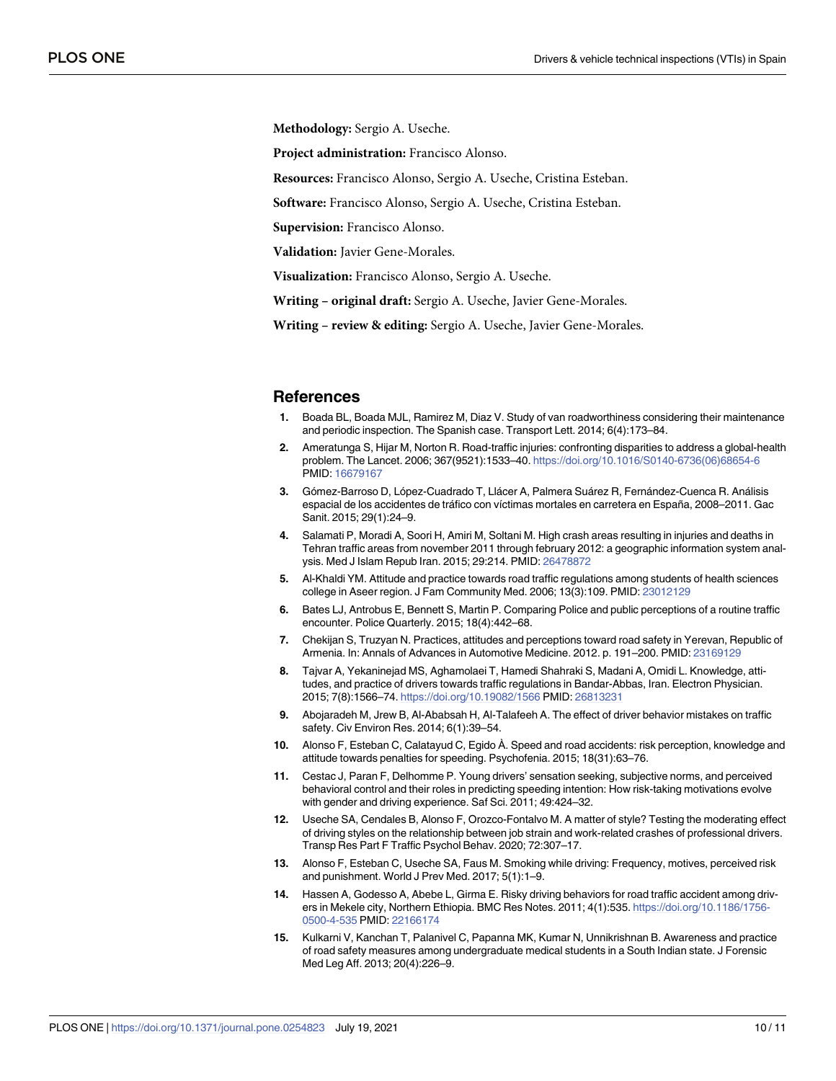<span id="page-9-0"></span>**Methodology:** Sergio A. Useche.

**Project administration:** Francisco Alonso.

**Resources:** Francisco Alonso, Sergio A. Useche, Cristina Esteban.

**Software:** Francisco Alonso, Sergio A. Useche, Cristina Esteban.

**Supervision:** Francisco Alonso.

**Validation:** Javier Gene-Morales.

**Visualization:** Francisco Alonso, Sergio A. Useche.

**Writing – original draft:** Sergio A. Useche, Javier Gene-Morales.

**Writing – review & editing:** Sergio A. Useche, Javier Gene-Morales.

#### **References**

- **[1](#page-1-0).** Boada BL, Boada MJL, Ramirez M, Diaz V. Study of van roadworthiness considering their maintenance and periodic inspection. The Spanish case. Transport Lett. 2014; 6(4):173–84.
- **[2](#page-1-0).** Ameratunga S, Hijar M, Norton R. Road-traffic injuries: confronting disparities to address a global-health problem. The Lancet. 2006; 367(9521):1533–40. [https://doi.org/10.1016/S0140-6736\(06\)68654-6](https://doi.org/10.1016/S0140-6736%2806%2968654-6) PMID: [16679167](http://www.ncbi.nlm.nih.gov/pubmed/16679167)
- **[3](#page-1-0).** Gómez-Barroso D, López-Cuadrado T, Llácer A, Palmera Suárez R, Fernández-Cuenca R. Análisis espacial de los accidentes de tráfico con víctimas mortales en carretera en España, 2008–2011. Gac Sanit. 2015; 29(1):24–9.
- **[4](#page-1-0).** Salamati P, Moradi A, Soori H, Amiri M, Soltani M. High crash areas resulting in injuries and deaths in Tehran traffic areas from november 2011 through february 2012: a geographic information system analysis. Med J Islam Repub Iran. 2015; 29:214. PMID: [26478872](http://www.ncbi.nlm.nih.gov/pubmed/26478872)
- **[5](#page-1-0).** Al-Khaldi YM. Attitude and practice towards road traffic regulations among students of health sciences college in Aseer region. J Fam Community Med. 2006; 13(3):109. PMID: [23012129](http://www.ncbi.nlm.nih.gov/pubmed/23012129)
- **6.** Bates LJ, Antrobus E, Bennett S, Martin P. Comparing Police and public perceptions of a routine traffic encounter. Police Quarterly. 2015; 18(4):442–68.
- **[7](#page-6-0).** Chekijan S, Truzyan N. Practices, attitudes and perceptions toward road safety in Yerevan, Republic of Armenia. In: Annals of Advances in Automotive Medicine. 2012. p. 191–200. PMID: [23169129](http://www.ncbi.nlm.nih.gov/pubmed/23169129)
- **[8](#page-1-0).** Tajvar A, Yekaninejad MS, Aghamolaei T, Hamedi Shahraki S, Madani A, Omidi L. Knowledge, attitudes, and practice of drivers towards traffic regulations in Bandar-Abbas, Iran. Electron Physician. 2015; 7(8):1566–74. <https://doi.org/10.19082/1566> PMID: [26813231](http://www.ncbi.nlm.nih.gov/pubmed/26813231)
- **[9](#page-1-0).** Abojaradeh M, Jrew B, Al-Ababsah H, Al-Talafeeh A. The effect of driver behavior mistakes on traffic safety. Civ Environ Res. 2014; 6(1):39–54.
- **[10](#page-1-0).** Alonso F, Esteban C, Calatayud C, Egido À. Speed and road accidents: risk perception, knowledge and attitude towards penalties for speeding. Psychofenia. 2015; 18(31):63–76.
- **[11](#page-1-0).** Cestac J, Paran F, Delhomme P. Young drivers' sensation seeking, subjective norms, and perceived behavioral control and their roles in predicting speeding intention: How risk-taking motivations evolve with gender and driving experience. Saf Sci. 2011; 49:424–32.
- **[12](#page-1-0).** Useche SA, Cendales B, Alonso F, Orozco-Fontalvo M. A matter of style? Testing the moderating effect of driving styles on the relationship between job strain and work-related crashes of professional drivers. Transp Res Part F Traffic Psychol Behav. 2020; 72:307–17.
- **[13](#page-1-0).** Alonso F, Esteban C, Useche SA, Faus M. Smoking while driving: Frequency, motives, perceived risk and punishment. World J Prev Med. 2017; 5(1):1–9.
- **[14](#page-1-0).** Hassen A, Godesso A, Abebe L, Girma E. Risky driving behaviors for road traffic accident among drivers in Mekele city, Northern Ethiopia. BMC Res Notes. 2011; 4(1):535. [https://doi.org/10.1186/1756-](https://doi.org/10.1186/1756-0500-4-535) [0500-4-535](https://doi.org/10.1186/1756-0500-4-535) PMID: [22166174](http://www.ncbi.nlm.nih.gov/pubmed/22166174)
- **[15](#page-1-0).** Kulkarni V, Kanchan T, Palanivel C, Papanna MK, Kumar N, Unnikrishnan B. Awareness and practice of road safety measures among undergraduate medical students in a South Indian state. J Forensic Med Leg Aff. 2013; 20(4):226–9.